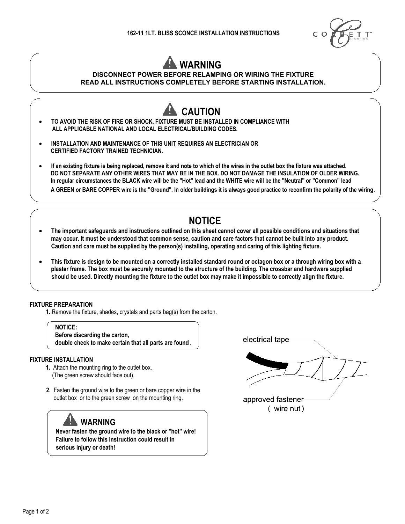

# **WARNING**

#### **DISCONNECT POWER BEFORE RELAMPING OR WIRING THE FIXTURE READ ALL INSTRUCTIONS COMPLETELY BEFORE STARTING INSTALLATION.**



## **NOTICE**

- x **The important safeguards and instructions outlined on this sheet cannot cover all possible conditions and situations that may occur. It must be understood that common sense, caution and care factors that cannot be built into any product. Caution and care must be supplied by the person(s) installing, operating and caring of this lighting fixture.**
- x **This fixture is design to be mounted on a correctly installed standard round or octagon box or a through wiring box with a plaster frame. The box must be securely mounted to the structure of the building. The crossbar and hardware supplied should be used. Directly mounting the fixture to the outlet box may make it impossible to correctly align the fixture.**

#### **FIXTURE PREPARATION**

**1.** Remove the fixture, shades, crystals and parts bag(s) from the carton.

 **NOTICE: Before discarding the carton, double check to make certain that all parts are found** .

#### **FIXTURE INSTALLATION**

- **1.** Attach the mounting ring to the outlet box. (The green screw should face out).
- **2.** Fasten the ground wire to the green or bare copper wire in the outlet box or to the green screw on the mounting ring.

## **WARNING**

**Never fasten the ground wire to the black or "hot" wire! Failure to follow this instruction could result in serious injury or death!**

electrical tape-

approved fastener ( wire nut)